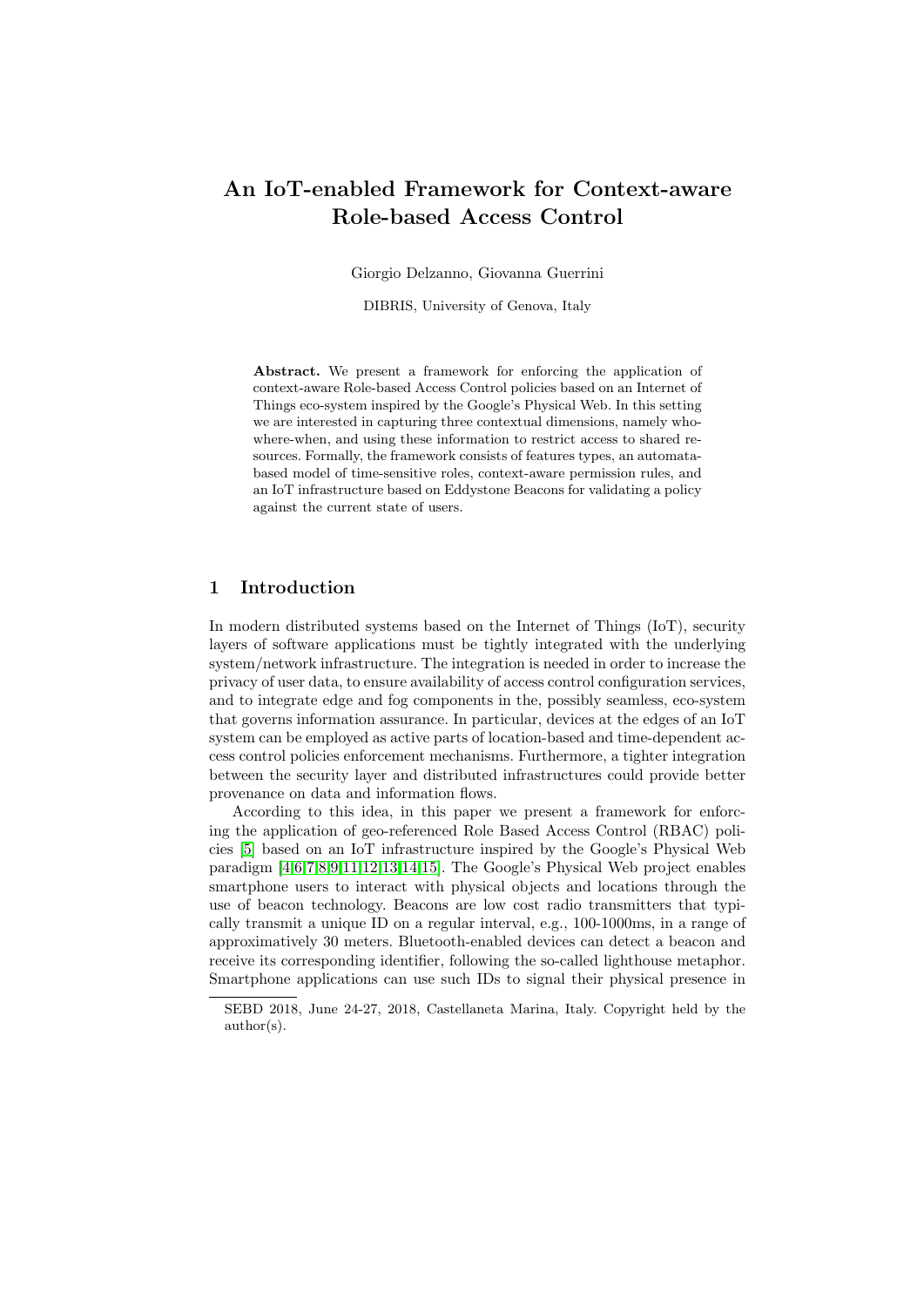# An IoT-enabled Framework for Context-aware Role-based Access Control

Giorgio Delzanno, Giovanna Guerrini

DIBRIS, University of Genova, Italy

Abstract. We present a framework for enforcing the application of context-aware Role-based Access Control policies based on an Internet of Things eco-system inspired by the Google's Physical Web. In this setting we are interested in capturing three contextual dimensions, namely whowhere-when, and using these information to restrict access to shared resources. Formally, the framework consists of features types, an automatabased model of time-sensitive roles, context-aware permission rules, and an IoT infrastructure based on Eddystone Beacons for validating a policy against the current state of users.

## 1 Introduction

In modern distributed systems based on the Internet of Things (IoT), security layers of software applications must be tightly integrated with the underlying system/network infrastructure. The integration is needed in order to increase the privacy of user data, to ensure availability of access control configuration services, and to integrate edge and fog components in the, possibly seamless, eco-system that governs information assurance. In particular, devices at the edges of an IoT system can be employed as active parts of location-based and time-dependent access control policies enforcement mechanisms. Furthermore, a tighter integration between the security layer and distributed infrastructures could provide better provenance on data and information flows.

According to this idea, in this paper we present a framework for enforcing the application of geo-referenced Role Based Access Control (RBAC) policies [\[5\]](#page-10-0) based on an IoT infrastructure inspired by the Google's Physical Web paradigm [\[4,](#page-9-0)[6,](#page-10-1)[7,](#page-10-2)[8](#page-10-3)[,9,](#page-10-4)[11,](#page-10-5)[12,](#page-10-6)[13](#page-10-7)[,14,](#page-10-8)[15\]](#page-10-9). The Google's Physical Web project enables smartphone users to interact with physical objects and locations through the use of beacon technology. Beacons are low cost radio transmitters that typically transmit a unique ID on a regular interval, e.g., 100-1000ms, in a range of approximatively 30 meters. Bluetooth-enabled devices can detect a beacon and receive its corresponding identifier, following the so-called lighthouse metaphor. Smartphone applications can use such IDs to signal their physical presence in

SEBD 2018, June 24-27, 2018, Castellaneta Marina, Italy. Copyright held by the author(s).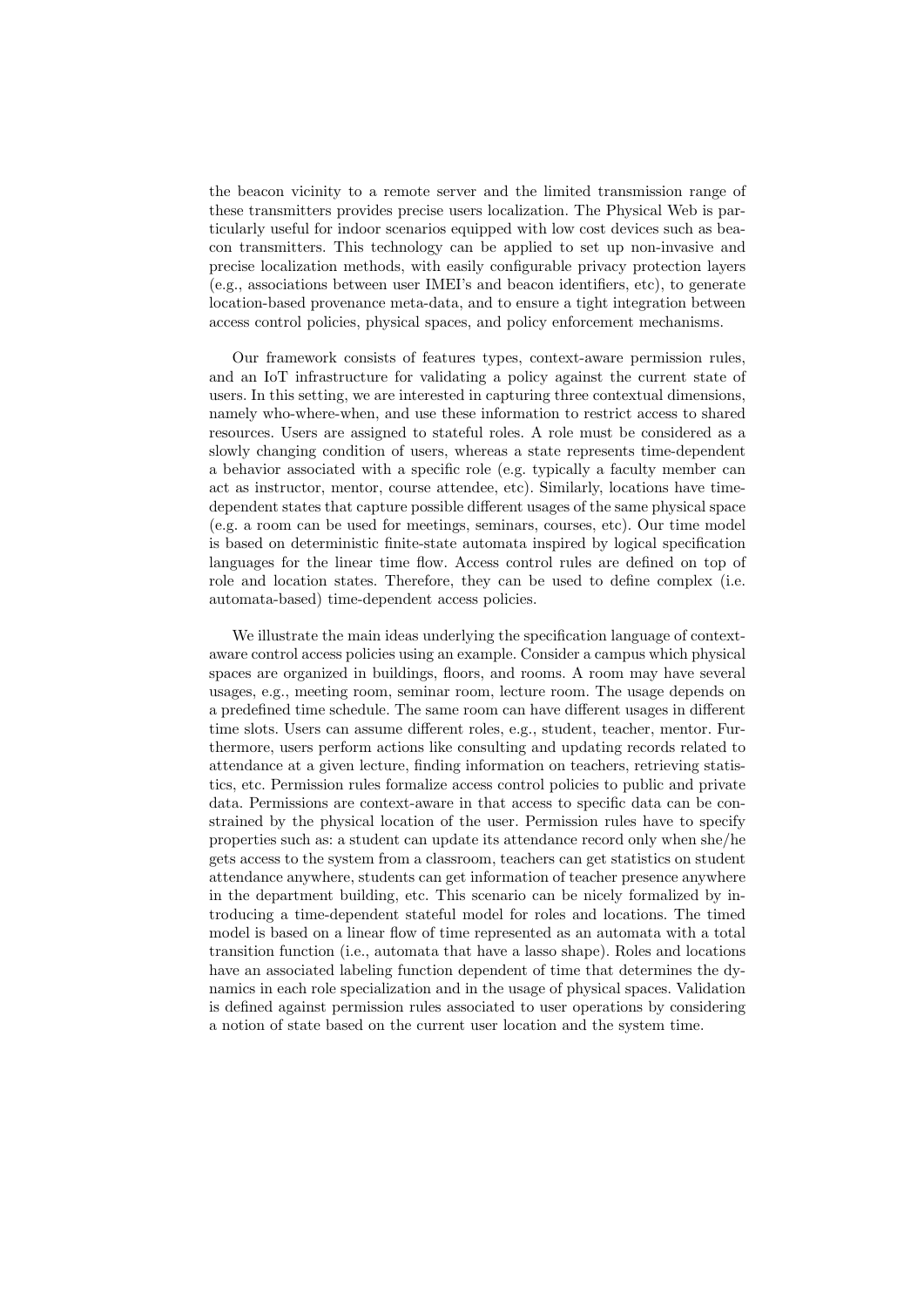the beacon vicinity to a remote server and the limited transmission range of these transmitters provides precise users localization. The Physical Web is particularly useful for indoor scenarios equipped with low cost devices such as beacon transmitters. This technology can be applied to set up non-invasive and precise localization methods, with easily configurable privacy protection layers (e.g., associations between user IMEI's and beacon identifiers, etc), to generate location-based provenance meta-data, and to ensure a tight integration between access control policies, physical spaces, and policy enforcement mechanisms.

Our framework consists of features types, context-aware permission rules, and an IoT infrastructure for validating a policy against the current state of users. In this setting, we are interested in capturing three contextual dimensions, namely who-where-when, and use these information to restrict access to shared resources. Users are assigned to stateful roles. A role must be considered as a slowly changing condition of users, whereas a state represents time-dependent a behavior associated with a specific role (e.g. typically a faculty member can act as instructor, mentor, course attendee, etc). Similarly, locations have timedependent states that capture possible different usages of the same physical space (e.g. a room can be used for meetings, seminars, courses, etc). Our time model is based on deterministic finite-state automata inspired by logical specification languages for the linear time flow. Access control rules are defined on top of role and location states. Therefore, they can be used to define complex (i.e. automata-based) time-dependent access policies.

We illustrate the main ideas underlying the specification language of contextaware control access policies using an example. Consider a campus which physical spaces are organized in buildings, floors, and rooms. A room may have several usages, e.g., meeting room, seminar room, lecture room. The usage depends on a predefined time schedule. The same room can have different usages in different time slots. Users can assume different roles, e.g., student, teacher, mentor. Furthermore, users perform actions like consulting and updating records related to attendance at a given lecture, finding information on teachers, retrieving statistics, etc. Permission rules formalize access control policies to public and private data. Permissions are context-aware in that access to specific data can be constrained by the physical location of the user. Permission rules have to specify properties such as: a student can update its attendance record only when she/he gets access to the system from a classroom, teachers can get statistics on student attendance anywhere, students can get information of teacher presence anywhere in the department building, etc. This scenario can be nicely formalized by introducing a time-dependent stateful model for roles and locations. The timed model is based on a linear flow of time represented as an automata with a total transition function (i.e., automata that have a lasso shape). Roles and locations have an associated labeling function dependent of time that determines the dynamics in each role specialization and in the usage of physical spaces. Validation is defined against permission rules associated to user operations by considering a notion of state based on the current user location and the system time.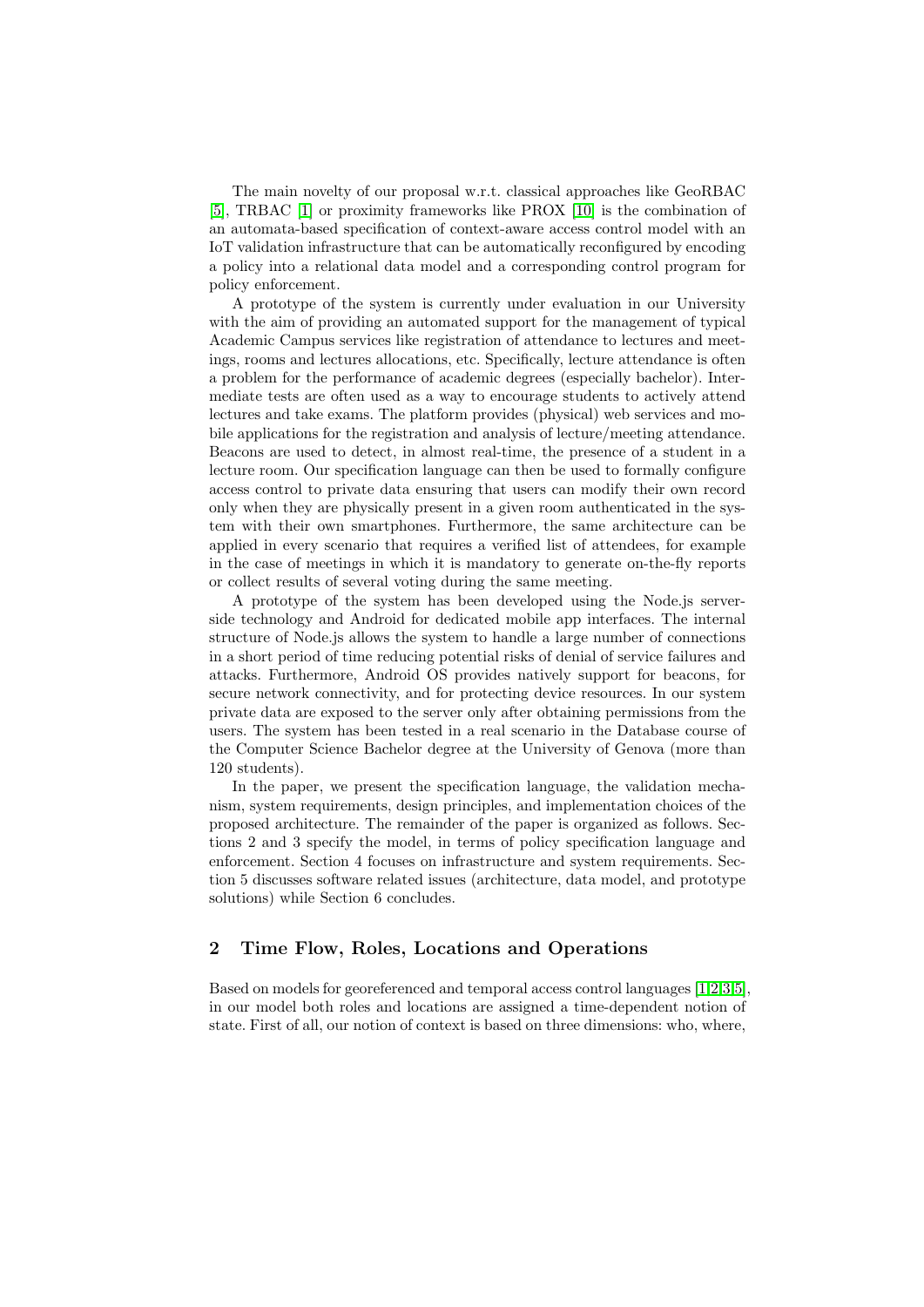The main novelty of our proposal w.r.t. classical approaches like GeoRBAC [\[5\]](#page-10-0), TRBAC [\[1\]](#page-9-1) or proximity frameworks like PROX [\[10\]](#page-10-10) is the combination of an automata-based specification of context-aware access control model with an IoT validation infrastructure that can be automatically reconfigured by encoding a policy into a relational data model and a corresponding control program for policy enforcement.

A prototype of the system is currently under evaluation in our University with the aim of providing an automated support for the management of typical Academic Campus services like registration of attendance to lectures and meetings, rooms and lectures allocations, etc. Specifically, lecture attendance is often a problem for the performance of academic degrees (especially bachelor). Intermediate tests are often used as a way to encourage students to actively attend lectures and take exams. The platform provides (physical) web services and mobile applications for the registration and analysis of lecture/meeting attendance. Beacons are used to detect, in almost real-time, the presence of a student in a lecture room. Our specification language can then be used to formally configure access control to private data ensuring that users can modify their own record only when they are physically present in a given room authenticated in the system with their own smartphones. Furthermore, the same architecture can be applied in every scenario that requires a verified list of attendees, for example in the case of meetings in which it is mandatory to generate on-the-fly reports or collect results of several voting during the same meeting.

A prototype of the system has been developed using the Node.js serverside technology and Android for dedicated mobile app interfaces. The internal structure of Node.js allows the system to handle a large number of connections in a short period of time reducing potential risks of denial of service failures and attacks. Furthermore, Android OS provides natively support for beacons, for secure network connectivity, and for protecting device resources. In our system private data are exposed to the server only after obtaining permissions from the users. The system has been tested in a real scenario in the Database course of the Computer Science Bachelor degree at the University of Genova (more than 120 students).

In the paper, we present the specification language, the validation mechanism, system requirements, design principles, and implementation choices of the proposed architecture. The remainder of the paper is organized as follows. Sections 2 and 3 specify the model, in terms of policy specification language and enforcement. Section 4 focuses on infrastructure and system requirements. Section 5 discusses software related issues (architecture, data model, and prototype solutions) while Section 6 concludes.

# 2 Time Flow, Roles, Locations and Operations

Based on models for georeferenced and temporal access control languages [\[1,](#page-9-1)[2,](#page-9-2)[3,](#page-9-3)[5\]](#page-10-0), in our model both roles and locations are assigned a time-dependent notion of state. First of all, our notion of context is based on three dimensions: who, where,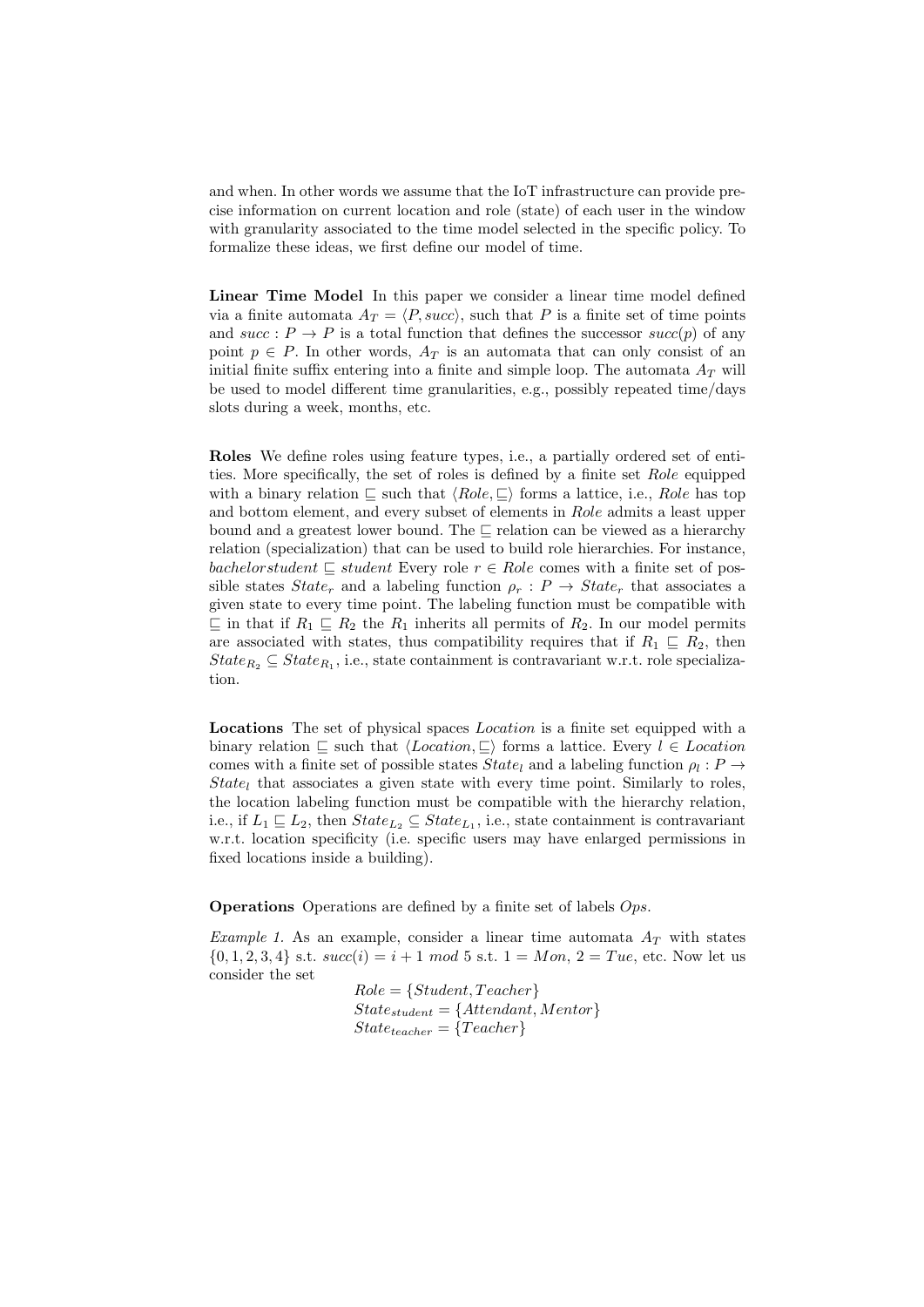and when. In other words we assume that the IoT infrastructure can provide precise information on current location and role (state) of each user in the window with granularity associated to the time model selected in the specific policy. To formalize these ideas, we first define our model of time.

Linear Time Model In this paper we consider a linear time model defined via a finite automata  $A_T = \langle P, succ \rangle$ , such that P is a finite set of time points and  $succ: P \to P$  is a total function that defines the successor  $succ(p)$  of any point  $p \in P$ . In other words,  $A_T$  is an automata that can only consist of an initial finite suffix entering into a finite and simple loop. The automata  $A_T$  will be used to model different time granularities, e.g., possibly repeated time/days slots during a week, months, etc.

Roles We define roles using feature types, i.e., a partially ordered set of entities. More specifically, the set of roles is defined by a finite set Role equipped with a binary relation  $\Box$  such that  $\langle Role, \Box \rangle$  forms a lattice, i.e., Role has top and bottom element, and every subset of elements in Role admits a least upper bound and a greatest lower bound. The  $\sqsubseteq$  relation can be viewed as a hierarchy relation (specialization) that can be used to build role hierarchies. For instance, bachelorstudent  $\sqsubseteq$  student Every role  $r \in R$ ole comes with a finite set of possible states  $State_r$  and a labeling function  $\rho_r$ :  $P \rightarrow State_r$  that associates a given state to every time point. The labeling function must be compatible with  $\subseteq$  in that if  $R_1 \subseteq R_2$  the  $R_1$  inherits all permits of  $R_2$ . In our model permits are associated with states, thus compatibility requires that if  $R_1 \subseteq R_2$ , then  $State_{R_2} \subseteq State_{R_1}$ , i.e., state containment is contravariant w.r.t. role specialization.

Locations The set of physical spaces Location is a finite set equipped with a binary relation  $\subseteq$  such that  $\langle Location, \subseteq \rangle$  forms a lattice. Every  $l \in Location$ comes with a finite set of possible states  $State_l$  and a labeling function  $\rho_l : P \rightarrow$  $State_l$  that associates a given state with every time point. Similarly to roles, the location labeling function must be compatible with the hierarchy relation, i.e., if  $L_1 \sqsubseteq L_2$ , then  $State_{L_2} \subseteq State_{L_1}$ , i.e., state containment is contravariant w.r.t. location specificity (i.e. specific users may have enlarged permissions in fixed locations inside a building).

Operations Operations are defined by a finite set of labels Ops.

Example 1. As an example, consider a linear time automata  $A_T$  with states  ${0, 1, 2, 3, 4}$  s.t.  $succ(i) = i + 1 \mod 5$  s.t.  $1 = Mon, 2 = True,$  etc. Now let us consider the set

> $Role = \{Student, Teacher\}$  $State_{student} = \{Attention,<sub>Mentor\}</sub>$ </sub>  $State_{teacher} = \{Teacher\}$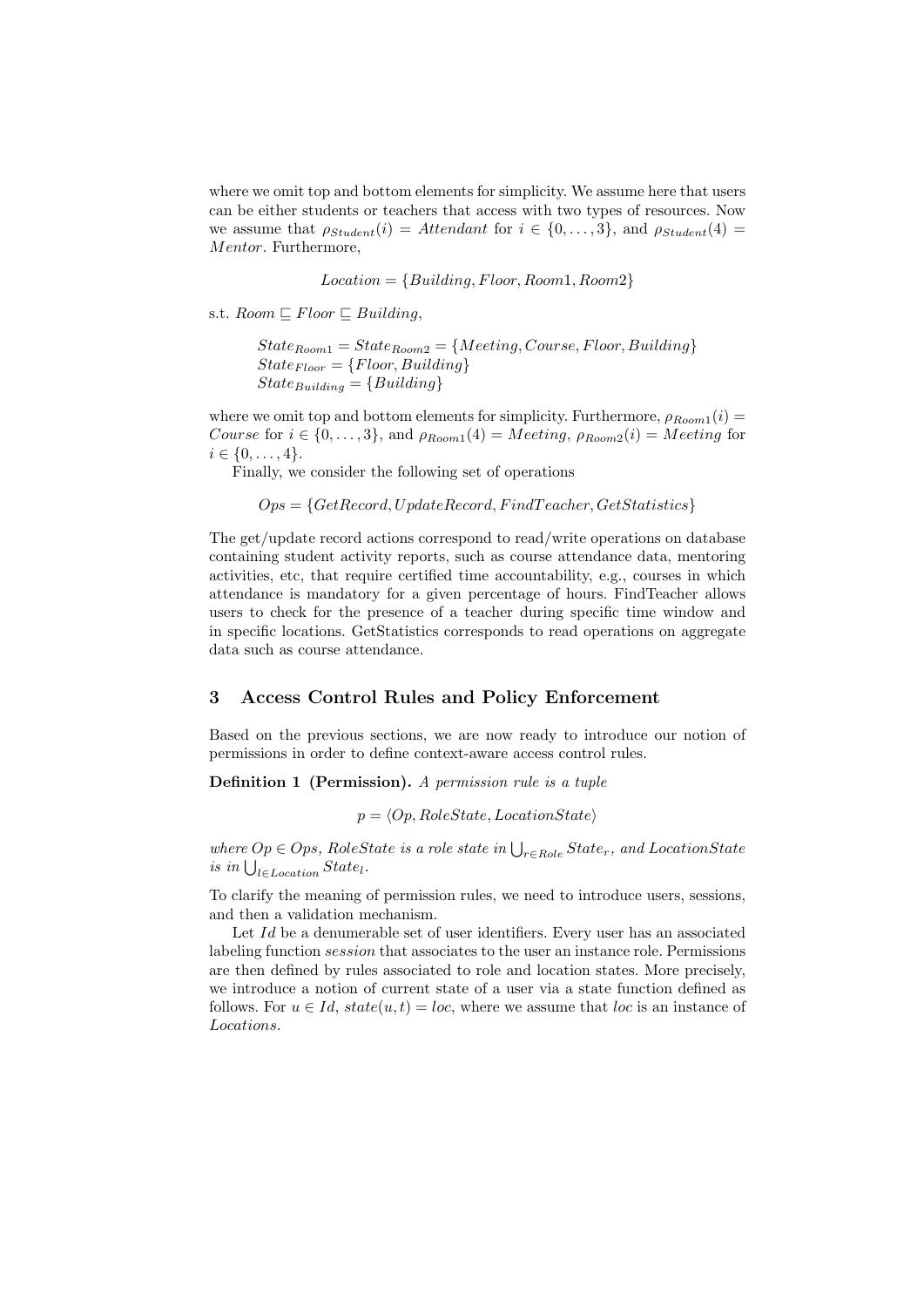where we omit top and bottom elements for simplicity. We assume here that users can be either students or teachers that access with two types of resources. Now we assume that  $\rho_{Student}(i) = Attendant$  for  $i \in \{0, ..., 3\}$ , and  $\rho_{Student}(4) =$ Mentor. Furthermore,

 $Location = {Building, Floor, Room1, Room2}$ 

s.t.  $Room \sqsubseteq Floor \sqsubseteq Building$ ,

 $State_{Room1} = State_{Room2} = { Meeting, Course, Floor, Building}$  $State_{Floor} = {Floor, Building}$  $State_{Building} = {Building}$ 

where we omit top and bottom elements for simplicity. Furthermore,  $\rho_{Room1}(i) =$ Course for  $i \in \{0, \ldots, 3\}$ , and  $\rho_{Room1}(4) = Meeting$ ,  $\rho_{Room2}(i) = Meeting$  for  $i \in \{0, \ldots, 4\}.$ 

Finally, we consider the following set of operations

 $Ops = \{GetRecord, UpdateRecord, Find Teacher, GetStatistics\}$ 

The get/update record actions correspond to read/write operations on database containing student activity reports, such as course attendance data, mentoring activities, etc, that require certified time accountability, e.g., courses in which attendance is mandatory for a given percentage of hours. FindTeacher allows users to check for the presence of a teacher during specific time window and in specific locations. GetStatistics corresponds to read operations on aggregate data such as course attendance.

## 3 Access Control Rules and Policy Enforcement

Based on the previous sections, we are now ready to introduce our notion of permissions in order to define context-aware access control rules.

Definition 1 (Permission). A permission rule is a tuple

 $p = \langle Op, RoleState, LocationState \rangle$ 

where  $Op \in Ops$ , RoleState is a role state in  $\bigcup_{r \in Role} State_r$ , and LocationState is in  $\bigcup_{l \in Location} State_l$ .

To clarify the meaning of permission rules, we need to introduce users, sessions, and then a validation mechanism.

Let Id be a denumerable set of user identifiers. Every user has an associated labeling function session that associates to the user an instance role. Permissions are then defined by rules associated to role and location states. More precisely, we introduce a notion of current state of a user via a state function defined as follows. For  $u \in Id$ ,  $state(u, t) = loc$ , where we assume that loc is an instance of Locations.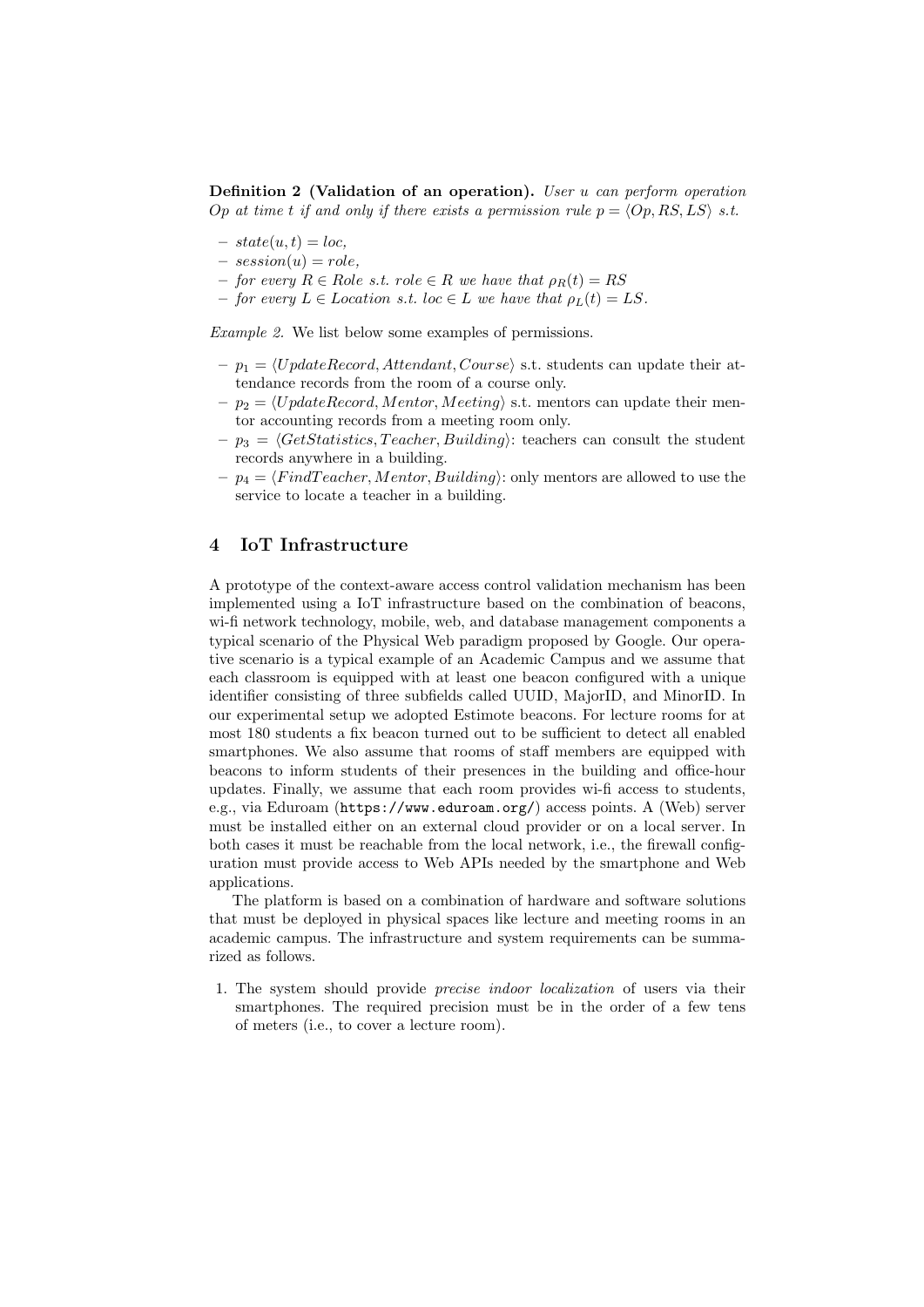Definition 2 (Validation of an operation). User u can perform operation Op at time t if and only if there exists a permission rule  $p = \langle Op, RS, LS \rangle$  s.t.

- $state(u, t) = loc,$
- $-$  session(u) = role,
- $-$  for every  $R \in R$ ole s.t. role  $\in R$  we have that  $\rho_R(t) = RS$
- $-$  for every  $L \in$  Location s.t. loc  $\in L$  we have that  $\rho_L(t) = LS$ .

Example 2. We list below some examples of permissions.

- $p_1 = \langle UpdateRecord, Attendant, Course \rangle \text{ s.t. students can update their at$ tendance records from the room of a course only.
- $p_2 = \langle UpdateRecord,<sub>Mentor, Meeting} \rangle</sub>$ </sub> s.t. mentors can update their mentor accounting records from a meeting room only.
- $-p_3 = \langle GetStatistics, Teacher, Building \rangle$ : teachers can consult the student records anywhere in a building.
- $-p_4 = \langle Find Teacher,$ *Mentor* $,$ *Building* $): only mentors are allowed to use the$ service to locate a teacher in a building.

#### 4 IoT Infrastructure

A prototype of the context-aware access control validation mechanism has been implemented using a IoT infrastructure based on the combination of beacons, wi-fi network technology, mobile, web, and database management components a typical scenario of the Physical Web paradigm proposed by Google. Our operative scenario is a typical example of an Academic Campus and we assume that each classroom is equipped with at least one beacon configured with a unique identifier consisting of three subfields called UUID, MajorID, and MinorID. In our experimental setup we adopted Estimote beacons. For lecture rooms for at most 180 students a fix beacon turned out to be sufficient to detect all enabled smartphones. We also assume that rooms of staff members are equipped with beacons to inform students of their presences in the building and office-hour updates. Finally, we assume that each room provides wi-fi access to students, e.g., via Eduroam (https://www.eduroam.org/) access points. A (Web) server must be installed either on an external cloud provider or on a local server. In both cases it must be reachable from the local network, i.e., the firewall configuration must provide access to Web APIs needed by the smartphone and Web applications.

The platform is based on a combination of hardware and software solutions that must be deployed in physical spaces like lecture and meeting rooms in an academic campus. The infrastructure and system requirements can be summarized as follows.

1. The system should provide precise indoor localization of users via their smartphones. The required precision must be in the order of a few tens of meters (i.e., to cover a lecture room).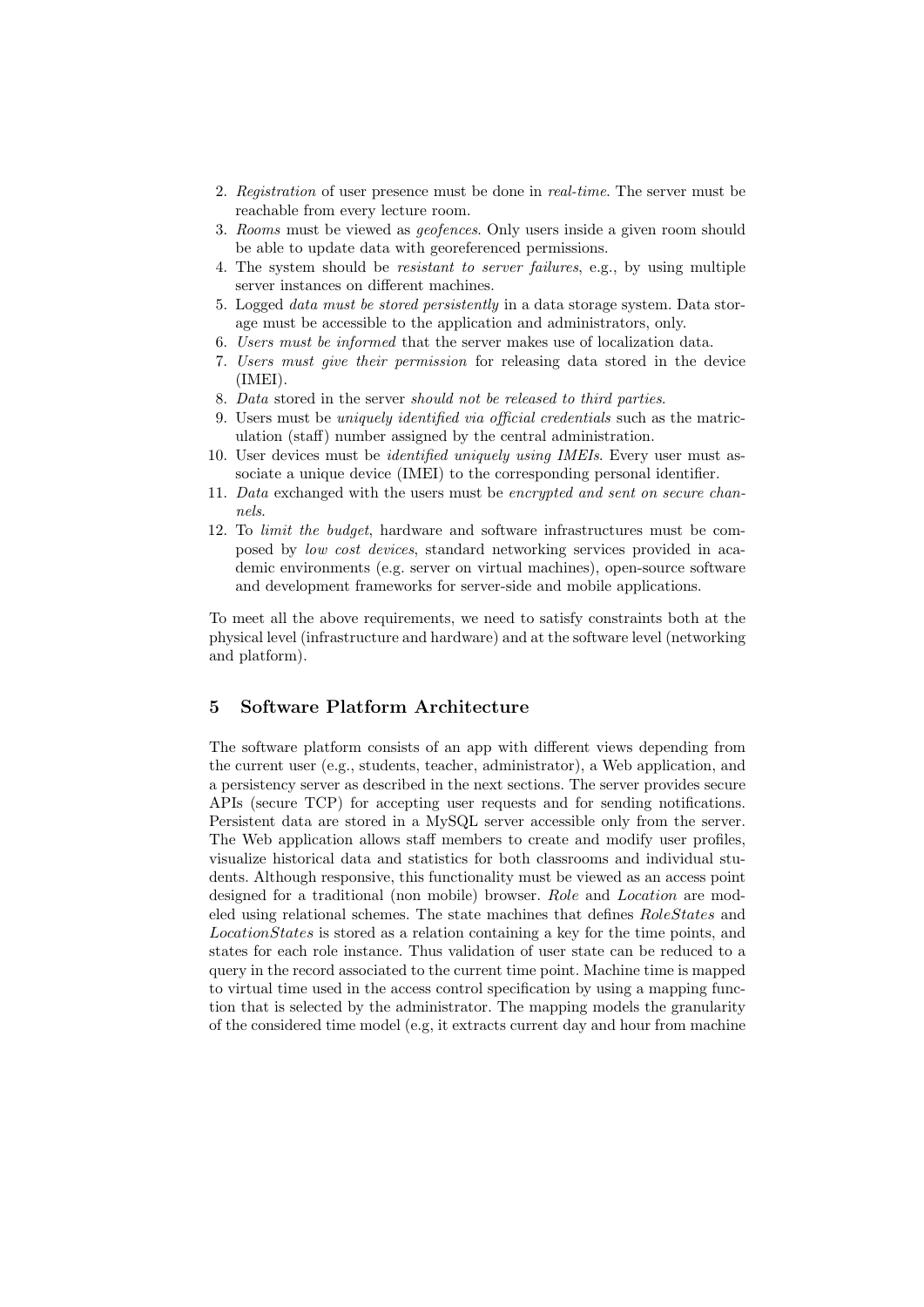- 2. Registration of user presence must be done in real-time. The server must be reachable from every lecture room.
- 3. Rooms must be viewed as geofences. Only users inside a given room should be able to update data with georeferenced permissions.
- 4. The system should be resistant to server failures, e.g., by using multiple server instances on different machines.
- 5. Logged data must be stored persistently in a data storage system. Data storage must be accessible to the application and administrators, only.
- 6. Users must be informed that the server makes use of localization data.
- 7. Users must give their permission for releasing data stored in the device (IMEI).
- 8. Data stored in the server should not be released to third parties.
- 9. Users must be uniquely identified via official credentials such as the matriculation (staff) number assigned by the central administration.
- 10. User devices must be *identified uniquely using IMEIs*. Every user must associate a unique device (IMEI) to the corresponding personal identifier.
- 11. Data exchanged with the users must be encrypted and sent on secure channels.
- 12. To limit the budget, hardware and software infrastructures must be composed by low cost devices, standard networking services provided in academic environments (e.g. server on virtual machines), open-source software and development frameworks for server-side and mobile applications.

To meet all the above requirements, we need to satisfy constraints both at the physical level (infrastructure and hardware) and at the software level (networking and platform).

# 5 Software Platform Architecture

The software platform consists of an app with different views depending from the current user (e.g., students, teacher, administrator), a Web application, and a persistency server as described in the next sections. The server provides secure APIs (secure TCP) for accepting user requests and for sending notifications. Persistent data are stored in a MySQL server accessible only from the server. The Web application allows staff members to create and modify user profiles, visualize historical data and statistics for both classrooms and individual students. Although responsive, this functionality must be viewed as an access point designed for a traditional (non mobile) browser. Role and Location are modeled using relational schemes. The state machines that defines RoleStates and LocationStates is stored as a relation containing a key for the time points, and states for each role instance. Thus validation of user state can be reduced to a query in the record associated to the current time point. Machine time is mapped to virtual time used in the access control specification by using a mapping function that is selected by the administrator. The mapping models the granularity of the considered time model (e.g, it extracts current day and hour from machine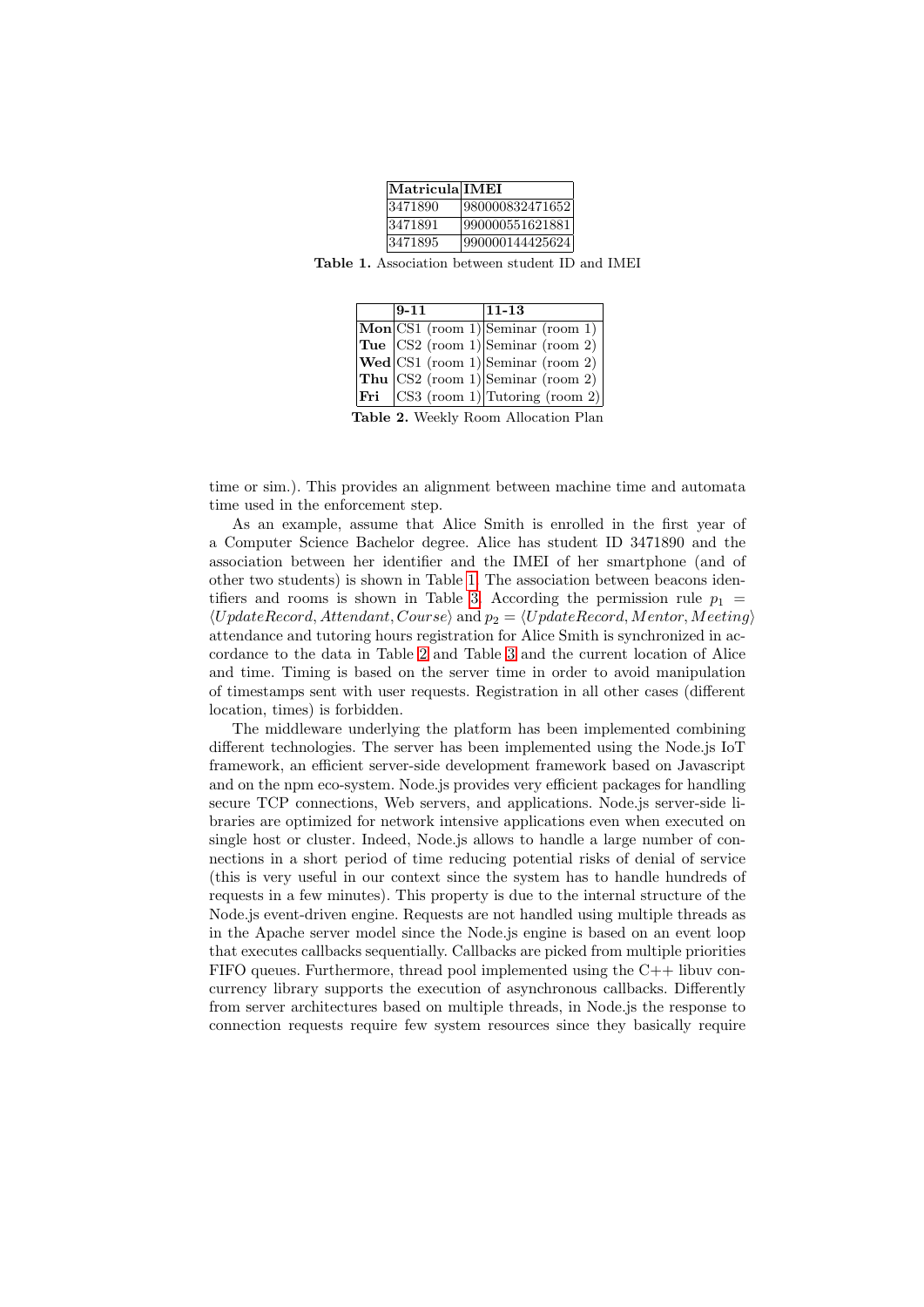| $ \mathbf{Matricula} \mathbf{IMEI} $ |                 |
|--------------------------------------|-----------------|
| 3471890                              | 980000832471652 |
| 3471891                              | 990000551621881 |
| 3471895                              | 990000144425624 |

<span id="page-7-0"></span>Table 1. Association between student ID and IMEI

| $9 - 11$ | $ 11 - 13 $                                                                      |
|----------|----------------------------------------------------------------------------------|
|          | $ \mathbf{Mon} $ CS1 (room 1) Seminar (room 1)                                   |
|          | Tue $ CS2$ (room 1) Seminar (room 2)                                             |
|          | $ \text{Wed} CS1$ (room 1) Seminar (room 2)                                      |
|          | Thu $ CS2$ (room 1) Seminar (room 2)                                             |
|          | <b>Fri</b> $\begin{bmatrix} \text{CS3 (room 1)} \end{bmatrix}$ Tutoring (room 2) |

Table 2. Weekly Room Allocation Plan

<span id="page-7-1"></span>time or sim.). This provides an alignment between machine time and automata time used in the enforcement step.

As an example, assume that Alice Smith is enrolled in the first year of a Computer Science Bachelor degree. Alice has student ID 3471890 and the association between her identifier and the IMEI of her smartphone (and of other two students) is shown in Table [1.](#page-7-0) The association between beacons iden-tifiers and rooms is shown in Table [3.](#page-8-0) According the permission rule  $p_1$  =  $\langle UpdateRecord, Attendant, Course\rangle$  and  $p_2 = \langle UpdateRecord, Mentor, Meeting\rangle$ attendance and tutoring hours registration for Alice Smith is synchronized in accordance to the data in Table [2](#page-7-1) and Table [3](#page-8-0) and the current location of Alice and time. Timing is based on the server time in order to avoid manipulation of timestamps sent with user requests. Registration in all other cases (different location, times) is forbidden.

The middleware underlying the platform has been implemented combining different technologies. The server has been implemented using the Node.js IoT framework, an efficient server-side development framework based on Javascript and on the npm eco-system. Node.js provides very efficient packages for handling secure TCP connections, Web servers, and applications. Node.js server-side libraries are optimized for network intensive applications even when executed on single host or cluster. Indeed, Node.js allows to handle a large number of connections in a short period of time reducing potential risks of denial of service (this is very useful in our context since the system has to handle hundreds of requests in a few minutes). This property is due to the internal structure of the Node.js event-driven engine. Requests are not handled using multiple threads as in the Apache server model since the Node.js engine is based on an event loop that executes callbacks sequentially. Callbacks are picked from multiple priorities FIFO queues. Furthermore, thread pool implemented using the  $C++$  libuv concurrency library supports the execution of asynchronous callbacks. Differently from server architectures based on multiple threads, in Node.js the response to connection requests require few system resources since they basically require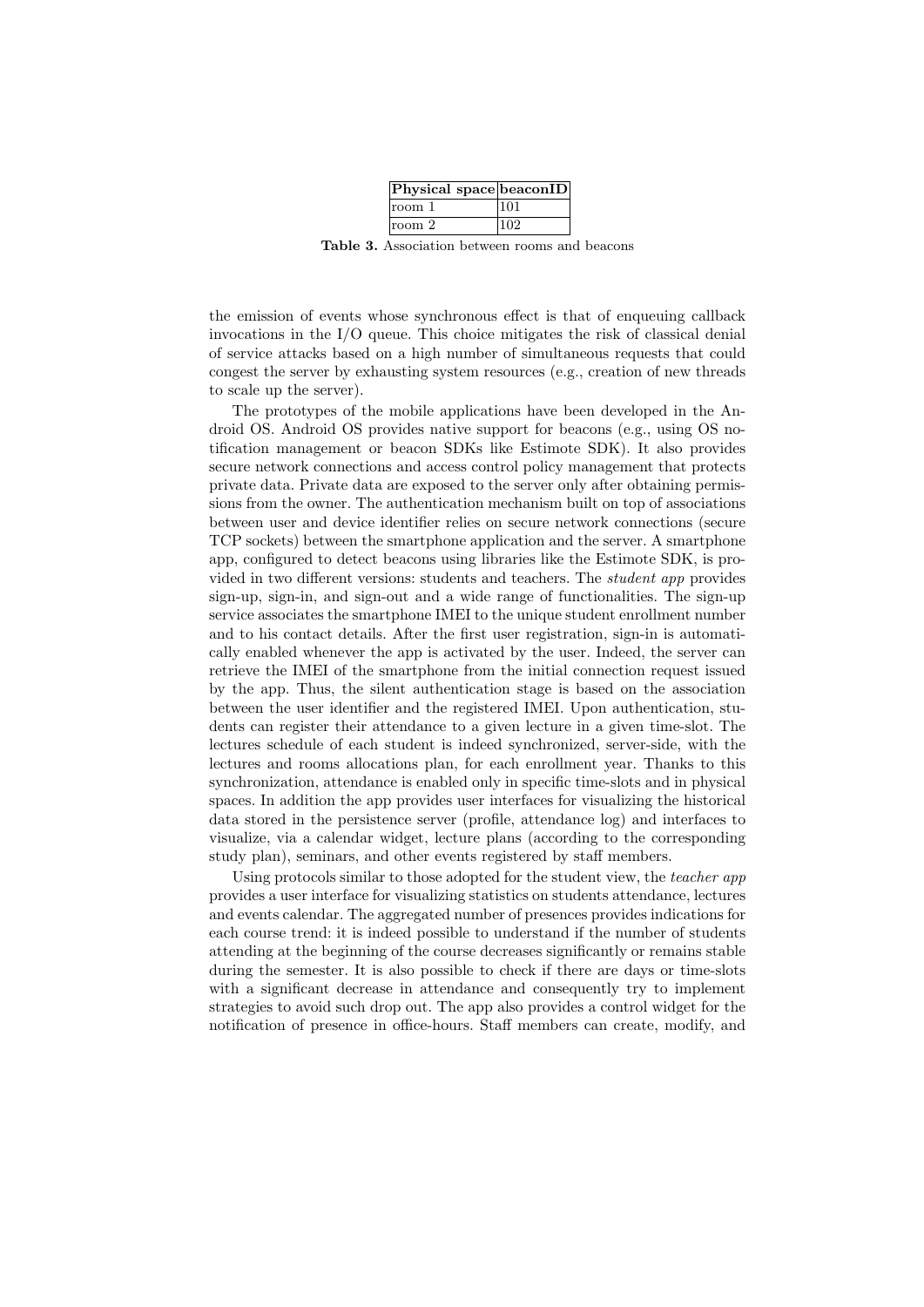| Physical space beaconID |     |
|-------------------------|-----|
| room 1                  | 101 |
| room 2                  | 102 |

Table 3. Association between rooms and beacons

<span id="page-8-0"></span>the emission of events whose synchronous effect is that of enqueuing callback invocations in the I/O queue. This choice mitigates the risk of classical denial of service attacks based on a high number of simultaneous requests that could congest the server by exhausting system resources (e.g., creation of new threads to scale up the server).

The prototypes of the mobile applications have been developed in the Android OS. Android OS provides native support for beacons (e.g., using OS notification management or beacon SDKs like Estimote SDK). It also provides secure network connections and access control policy management that protects private data. Private data are exposed to the server only after obtaining permissions from the owner. The authentication mechanism built on top of associations between user and device identifier relies on secure network connections (secure TCP sockets) between the smartphone application and the server. A smartphone app, configured to detect beacons using libraries like the Estimote SDK, is provided in two different versions: students and teachers. The student app provides sign-up, sign-in, and sign-out and a wide range of functionalities. The sign-up service associates the smartphone IMEI to the unique student enrollment number and to his contact details. After the first user registration, sign-in is automatically enabled whenever the app is activated by the user. Indeed, the server can retrieve the IMEI of the smartphone from the initial connection request issued by the app. Thus, the silent authentication stage is based on the association between the user identifier and the registered IMEI. Upon authentication, students can register their attendance to a given lecture in a given time-slot. The lectures schedule of each student is indeed synchronized, server-side, with the lectures and rooms allocations plan, for each enrollment year. Thanks to this synchronization, attendance is enabled only in specific time-slots and in physical spaces. In addition the app provides user interfaces for visualizing the historical data stored in the persistence server (profile, attendance log) and interfaces to visualize, via a calendar widget, lecture plans (according to the corresponding study plan), seminars, and other events registered by staff members.

Using protocols similar to those adopted for the student view, the teacher app provides a user interface for visualizing statistics on students attendance, lectures and events calendar. The aggregated number of presences provides indications for each course trend: it is indeed possible to understand if the number of students attending at the beginning of the course decreases significantly or remains stable during the semester. It is also possible to check if there are days or time-slots with a significant decrease in attendance and consequently try to implement strategies to avoid such drop out. The app also provides a control widget for the notification of presence in office-hours. Staff members can create, modify, and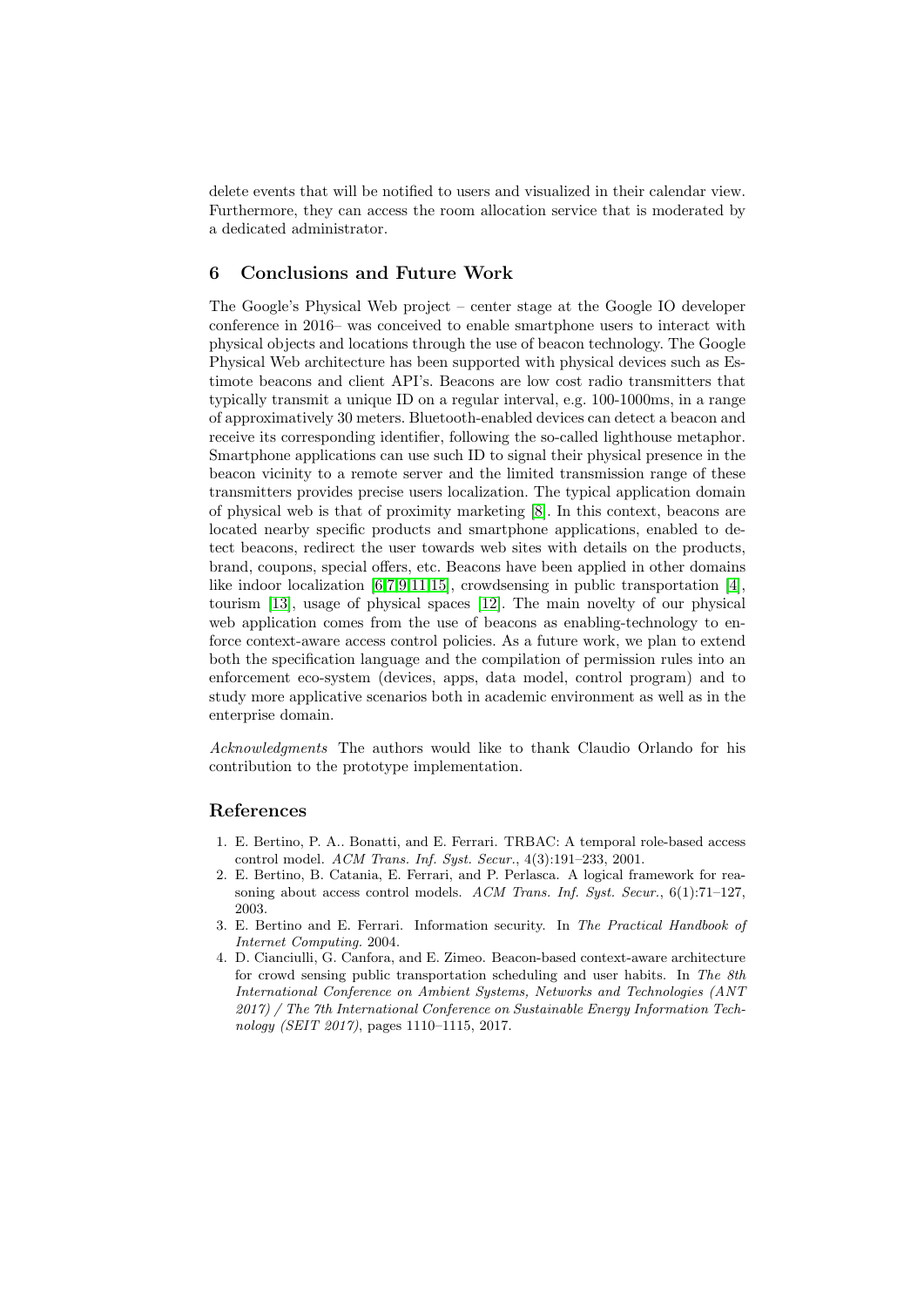delete events that will be notified to users and visualized in their calendar view. Furthermore, they can access the room allocation service that is moderated by a dedicated administrator.

#### 6 Conclusions and Future Work

The Google's Physical Web project – center stage at the Google IO developer conference in 2016– was conceived to enable smartphone users to interact with physical objects and locations through the use of beacon technology. The Google Physical Web architecture has been supported with physical devices such as Estimote beacons and client API's. Beacons are low cost radio transmitters that typically transmit a unique ID on a regular interval, e.g. 100-1000ms, in a range of approximatively 30 meters. Bluetooth-enabled devices can detect a beacon and receive its corresponding identifier, following the so-called lighthouse metaphor. Smartphone applications can use such ID to signal their physical presence in the beacon vicinity to a remote server and the limited transmission range of these transmitters provides precise users localization. The typical application domain of physical web is that of proximity marketing [\[8\]](#page-10-3). In this context, beacons are located nearby specific products and smartphone applications, enabled to detect beacons, redirect the user towards web sites with details on the products, brand, coupons, special offers, etc. Beacons have been applied in other domains like indoor localization [\[6,](#page-10-1)[7](#page-10-2)[,9,](#page-10-4)[11,](#page-10-5)[15\]](#page-10-9), crowdsensing in public transportation [\[4\]](#page-9-0), tourism [\[13\]](#page-10-7), usage of physical spaces [\[12\]](#page-10-6). The main novelty of our physical web application comes from the use of beacons as enabling-technology to enforce context-aware access control policies. As a future work, we plan to extend both the specification language and the compilation of permission rules into an enforcement eco-system (devices, apps, data model, control program) and to study more applicative scenarios both in academic environment as well as in the enterprise domain.

Acknowledgments The authors would like to thank Claudio Orlando for his contribution to the prototype implementation.

## References

- <span id="page-9-1"></span>1. E. Bertino, P. A.. Bonatti, and E. Ferrari. TRBAC: A temporal role-based access control model. ACM Trans. Inf. Syst. Secur., 4(3):191–233, 2001.
- <span id="page-9-2"></span>2. E. Bertino, B. Catania, E. Ferrari, and P. Perlasca. A logical framework for reasoning about access control models. ACM Trans. Inf. Syst. Secur., 6(1):71-127, 2003.
- <span id="page-9-3"></span>3. E. Bertino and E. Ferrari. Information security. In The Practical Handbook of Internet Computing. 2004.
- <span id="page-9-0"></span>4. D. Cianciulli, G. Canfora, and E. Zimeo. Beacon-based context-aware architecture for crowd sensing public transportation scheduling and user habits. In The 8th International Conference on Ambient Systems, Networks and Technologies (ANT 2017) / The 7th International Conference on Sustainable Energy Information Technology (SEIT 2017), pages 1110–1115, 2017.